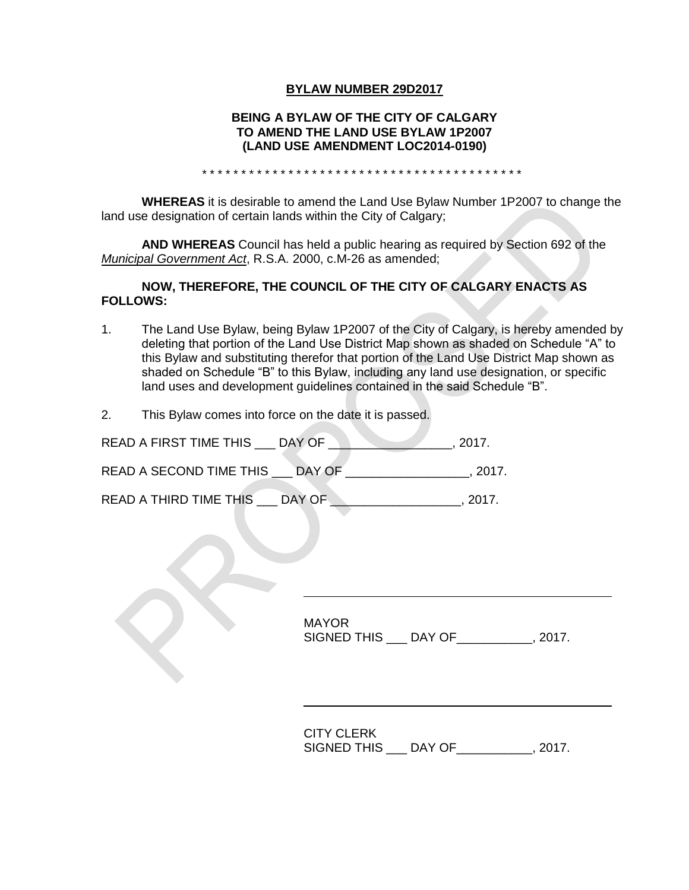### **BYLAW NUMBER 29D2017**

### **BEING A BYLAW OF THE CITY OF CALGARY TO AMEND THE LAND USE BYLAW 1P2007 (LAND USE AMENDMENT LOC2014-0190)**

\* \* \* \* \* \* \* \* \* \* \* \* \* \* \* \* \* \* \* \* \* \* \* \* \* \* \* \* \* \* \* \* \* \* \* \* \* \* \* \* \*

**WHEREAS** it is desirable to amend the Land Use Bylaw Number 1P2007 to change the land use designation of certain lands within the City of Calgary;

**AND WHEREAS** Council has held a public hearing as required by Section 692 of the *Municipal Government Act*, R.S.A. 2000, c.M-26 as amended;

### **NOW, THEREFORE, THE COUNCIL OF THE CITY OF CALGARY ENACTS AS FOLLOWS:**

- 1. The Land Use Bylaw, being Bylaw 1P2007 of the City of Calgary, is hereby amended by deleting that portion of the Land Use District Map shown as shaded on Schedule "A" to this Bylaw and substituting therefor that portion of the Land Use District Map shown as shaded on Schedule "B" to this Bylaw, including any land use designation, or specific land uses and development guidelines contained in the said Schedule "B".
- 2. This Bylaw comes into force on the date it is passed.

| READ A FIRST TIME THIS  | DAY OF | 2017.  |
|-------------------------|--------|--------|
| READ A SECOND TIME THIS | DAY OF | -2017. |
| READ A THIRD TIME THIS  | DAY OF | 2017   |

MAYOR SIGNED THIS \_\_\_ DAY OF\_\_\_\_\_\_\_\_\_\_\_, 2017.

CITY CLERK SIGNED THIS \_\_\_ DAY OF\_\_\_\_\_\_\_\_\_\_\_, 2017.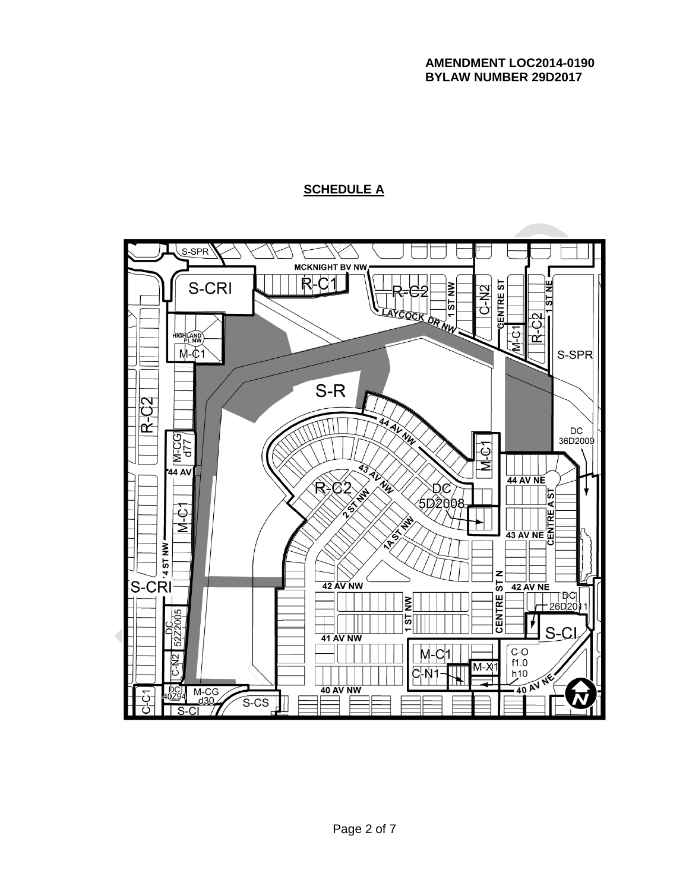# **SCHEDULE A**

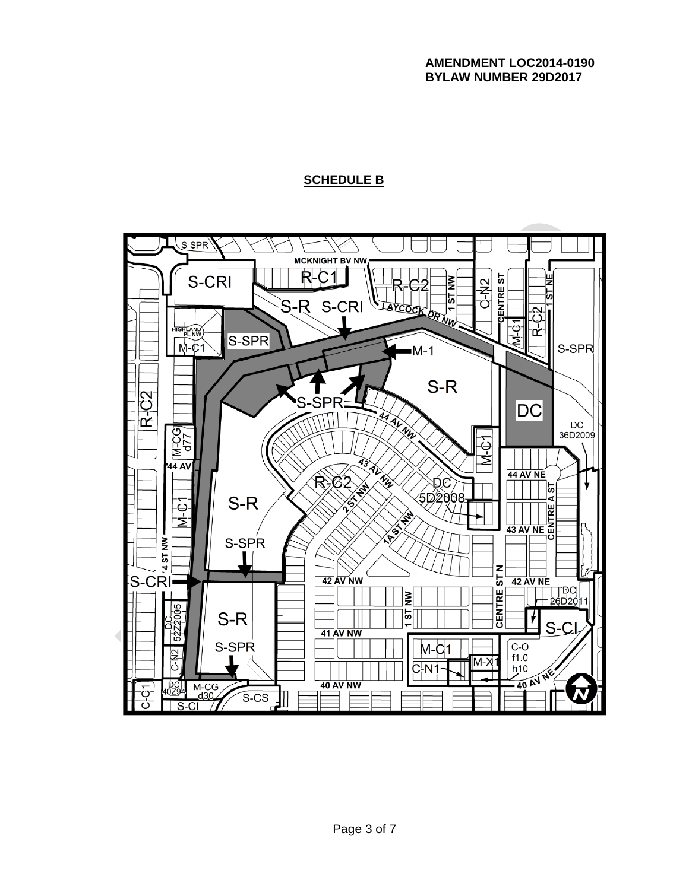### **AMENDMENT LOC2014-0190 BYLAW NUMBER 29D2017**

# **SCHEDULE B**

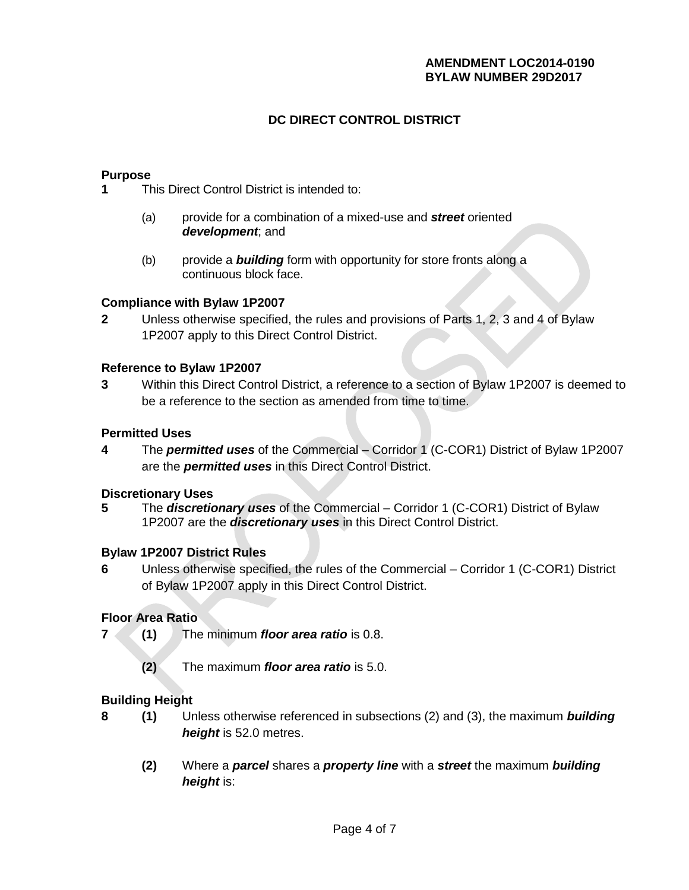## **AMENDMENT LOC2014-0190 BYLAW NUMBER 29D2017**

# **DC DIRECT CONTROL DISTRICT**

### **Purpose**

**1** This Direct Control District is intended to:

- (a) provide for a combination of a mixed-use and *street* oriented *development*; and
- (b) provide a *building* form with opportunity for store fronts along a continuous block face.

### **Compliance with Bylaw 1P2007**

**2** Unless otherwise specified, the rules and provisions of Parts 1, 2, 3 and 4 of Bylaw 1P2007 apply to this Direct Control District.

### **Reference to Bylaw 1P2007**

**3** Within this Direct Control District, a reference to a section of Bylaw 1P2007 is deemed to be a reference to the section as amended from time to time.

## **Permitted Uses**

**4** The *permitted uses* of the Commercial – Corridor 1 (C-COR1) District of Bylaw 1P2007 are the *permitted uses* in this Direct Control District.

#### **Discretionary Uses**

**5** The *discretionary uses* of the Commercial – Corridor 1 (C-COR1) District of Bylaw 1P2007 are the *discretionary uses* in this Direct Control District.

## **Bylaw 1P2007 District Rules**

**6** Unless otherwise specified, the rules of the Commercial – Corridor 1 (C-COR1) District of Bylaw 1P2007 apply in this Direct Control District.

## **Floor Area Ratio**

- **7 (1)** The minimum *floor area ratio* is 0.8.
	- **(2)** The maximum *floor area ratio* is 5.0.

## **Building Height**

- **8 (1)** Unless otherwise referenced in subsections (2) and (3), the maximum *building height* is 52.0 metres.
	- **(2)** Where a *parcel* shares a *property line* with a *street* the maximum *building height* is: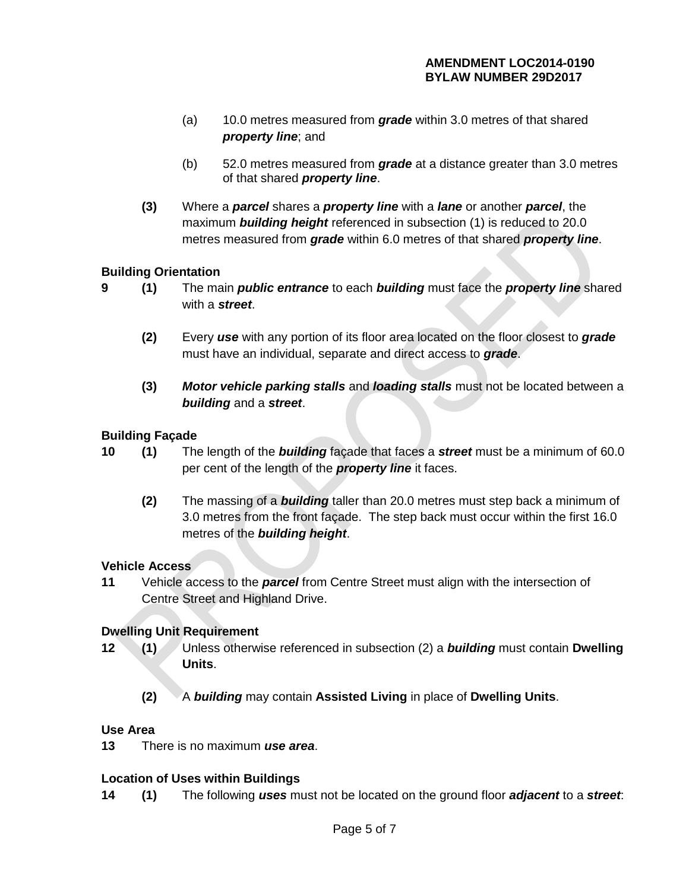- (a) 10.0 metres measured from *grade* within 3.0 metres of that shared *property line*; and
- (b) 52.0 metres measured from *grade* at a distance greater than 3.0 metres of that shared *property line*.
- **(3)** Where a *parcel* shares a *property line* with a *lane* or another *parcel*, the maximum *building height* referenced in subsection (1) is reduced to 20.0 metres measured from *grade* within 6.0 metres of that shared *property line*.

# **Building Orientation**

- 
- **9 (1)** The main *public entrance* to each *building* must face the *property line* shared with a *street*.
	- **(2)** Every *use* with any portion of its floor area located on the floor closest to *grade*  must have an individual, separate and direct access to *grade*.
	- **(3)** *Motor vehicle parking stalls* and *loading stalls* must not be located between a *building* and a *street*.

# **Building Façade**

- **10 (1)** The length of the *building* façade that faces a *street* must be a minimum of 60.0 per cent of the length of the *property line* it faces.
	- **(2)** The massing of a *building* taller than 20.0 metres must step back a minimum of 3.0 metres from the front façade. The step back must occur within the first 16.0 metres of the *building height*.

## **Vehicle Access**

**11** Vehicle access to the *parcel* from Centre Street must align with the intersection of Centre Street and Highland Drive.

# **Dwelling Unit Requirement**

- **12 (1)** Unless otherwise referenced in subsection (2) a *building* must contain **Dwelling Units**.
	- **(2)** A *building* may contain **Assisted Living** in place of **Dwelling Units**.

## **Use Area**

**13** There is no maximum *use area*.

# **Location of Uses within Buildings**

**14 (1)** The following *uses* must not be located on the ground floor *adjacent* to a *street*: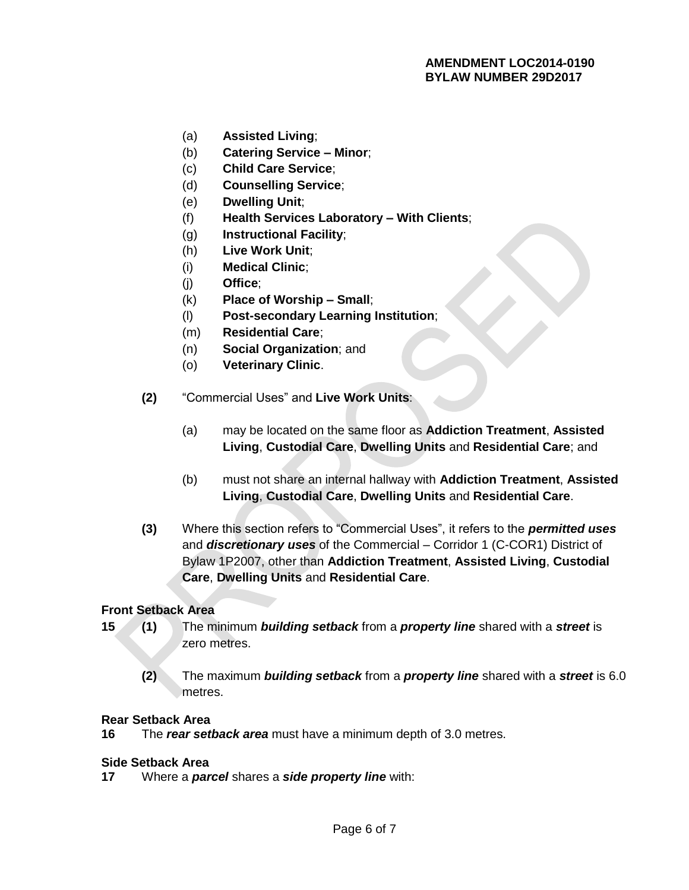- (a) **Assisted Living**;
- (b) **Catering Service – Minor**;
- (c) **Child Care Service**;
- (d) **Counselling Service**;
- (e) **Dwelling Unit**;
- (f) **Health Services Laboratory – With Clients**;
- (g) **Instructional Facility**;
- (h) **Live Work Unit**;
- (i) **Medical Clinic**;
- (j) **Office**;
- (k) **Place of Worship – Small**;
- (l) **Post-secondary Learning Institution**;
- (m) **Residential Care**;
- (n) **Social Organization**; and
- (o) **Veterinary Clinic**.
- **(2)** "Commercial Uses" and **Live Work Units**:
	- (a) may be located on the same floor as **Addiction Treatment**, **Assisted Living**, **Custodial Care**, **Dwelling Units** and **Residential Care**; and
	- (b) must not share an internal hallway with **Addiction Treatment**, **Assisted Living**, **Custodial Care**, **Dwelling Units** and **Residential Care**.
- **(3)** Where this section refers to "Commercial Uses", it refers to the *permitted uses* and *discretionary uses* of the Commercial – Corridor 1 (C-COR1) District of Bylaw 1P2007, other than **Addiction Treatment**, **Assisted Living**, **Custodial Care**, **Dwelling Units** and **Residential Care**.

#### **Front Setback Area**

- **15 (1)** The minimum *building setback* from a *property line* shared with a *street* is zero metres.
	- **(2)** The maximum *building setback* from a *property line* shared with a *street* is 6.0 metres.

#### **Rear Setback Area**

**16** The *rear setback area* must have a minimum depth of 3.0 metres.

#### **Side Setback Area**

**17** Where a *parcel* shares a *side property line* with: